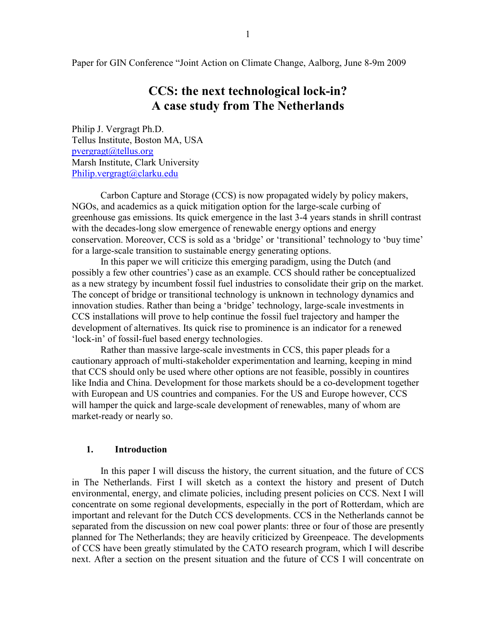Paper for GIN Conference "Joint Action on Climate Change, Aalborg, June 8-9m 2009

# CCS: the next technological lock-in? A case study from The Netherlands

Philip J. Vergragt Ph.D. Tellus Institute, Boston MA, USA pvergragt@tellus.org Marsh Institute, Clark University Philip.vergragt@clarku.edu

Carbon Capture and Storage (CCS) is now propagated widely by policy makers, NGOs, and academics as a quick mitigation option for the large-scale curbing of greenhouse gas emissions. Its quick emergence in the last 3-4 years stands in shrill contrast with the decades-long slow emergence of renewable energy options and energy conservation. Moreover, CCS is sold as a 'bridge' or 'transitional' technology to 'buy time' for a large-scale transition to sustainable energy generating options.

In this paper we will criticize this emerging paradigm, using the Dutch (and possibly a few other countries') case as an example. CCS should rather be conceptualized as a new strategy by incumbent fossil fuel industries to consolidate their grip on the market. The concept of bridge or transitional technology is unknown in technology dynamics and innovation studies. Rather than being a 'bridge' technology, large-scale investments in CCS installations will prove to help continue the fossil fuel trajectory and hamper the development of alternatives. Its quick rise to prominence is an indicator for a renewed 'lock-in' of fossil-fuel based energy technologies.

Rather than massive large-scale investments in CCS, this paper pleads for a cautionary approach of multi-stakeholder experimentation and learning, keeping in mind that CCS should only be used where other options are not feasible, possibly in countires like India and China. Development for those markets should be a co-development together with European and US countries and companies. For the US and Europe however, CCS will hamper the quick and large-scale development of renewables, many of whom are market-ready or nearly so.

### 1. Introduction

In this paper I will discuss the history, the current situation, and the future of CCS in The Netherlands. First I will sketch as a context the history and present of Dutch environmental, energy, and climate policies, including present policies on CCS. Next I will concentrate on some regional developments, especially in the port of Rotterdam, which are important and relevant for the Dutch CCS developments. CCS in the Netherlands cannot be separated from the discussion on new coal power plants: three or four of those are presently planned for The Netherlands; they are heavily criticized by Greenpeace. The developments of CCS have been greatly stimulated by the CATO research program, which I will describe next. After a section on the present situation and the future of CCS I will concentrate on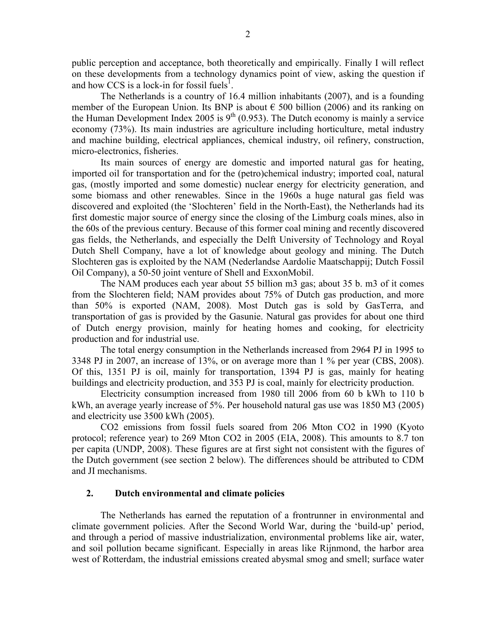public perception and acceptance, both theoretically and empirically. Finally I will reflect on these developments from a technology dynamics point of view, asking the question if and how CCS is a lock-in for fossil fuels<sup>1</sup>.

The Netherlands is a country of 16.4 million inhabitants (2007), and is a founding member of the European Union. Its BNP is about  $\epsilon$  500 billion (2006) and its ranking on the Human Development Index 2005 is  $9<sup>th</sup>$  (0.953). The Dutch economy is mainly a service economy (73%). Its main industries are agriculture including horticulture, metal industry and machine building, electrical appliances, chemical industry, oil refinery, construction, micro-electronics, fisheries.

Its main sources of energy are domestic and imported natural gas for heating, imported oil for transportation and for the (petro)chemical industry; imported coal, natural gas, (mostly imported and some domestic) nuclear energy for electricity generation, and some biomass and other renewables. Since in the 1960s a huge natural gas field was discovered and exploited (the 'Slochteren' field in the North-East), the Netherlands had its first domestic major source of energy since the closing of the Limburg coals mines, also in the 60s of the previous century. Because of this former coal mining and recently discovered gas fields, the Netherlands, and especially the Delft University of Technology and Royal Dutch Shell Company, have a lot of knowledge about geology and mining. The Dutch Slochteren gas is exploited by the NAM (Nederlandse Aardolie Maatschappij; Dutch Fossil Oil Company), a 50-50 joint venture of Shell and ExxonMobil.

The NAM produces each year about 55 billion m3 gas; about 35 b. m3 of it comes from the Slochteren field; NAM provides about 75% of Dutch gas production, and more than 50% is exported (NAM, 2008). Most Dutch gas is sold by GasTerra, and transportation of gas is provided by the Gasunie. Natural gas provides for about one third of Dutch energy provision, mainly for heating homes and cooking, for electricity production and for industrial use.

The total energy consumption in the Netherlands increased from 2964 PJ in 1995 to 3348 PJ in 2007, an increase of 13%, or on average more than 1 % per year (CBS, 2008). Of this, 1351 PJ is oil, mainly for transportation, 1394 PJ is gas, mainly for heating buildings and electricity production, and 353 PJ is coal, mainly for electricity production.

Electricity consumption increased from 1980 till 2006 from 60 b kWh to 110 b kWh, an average yearly increase of 5%. Per household natural gas use was 1850 M3 (2005) and electricity use 3500 kWh (2005).

CO2 emissions from fossil fuels soared from 206 Mton CO2 in 1990 (Kyoto protocol; reference year) to 269 Mton CO2 in 2005 (EIA, 2008). This amounts to 8.7 ton per capita (UNDP, 2008). These figures are at first sight not consistent with the figures of the Dutch government (see section 2 below). The differences should be attributed to CDM and JI mechanisms.

### 2. Dutch environmental and climate policies

The Netherlands has earned the reputation of a frontrunner in environmental and climate government policies. After the Second World War, during the 'build-up' period, and through a period of massive industrialization, environmental problems like air, water, and soil pollution became significant. Especially in areas like Rijnmond, the harbor area west of Rotterdam, the industrial emissions created abysmal smog and smell; surface water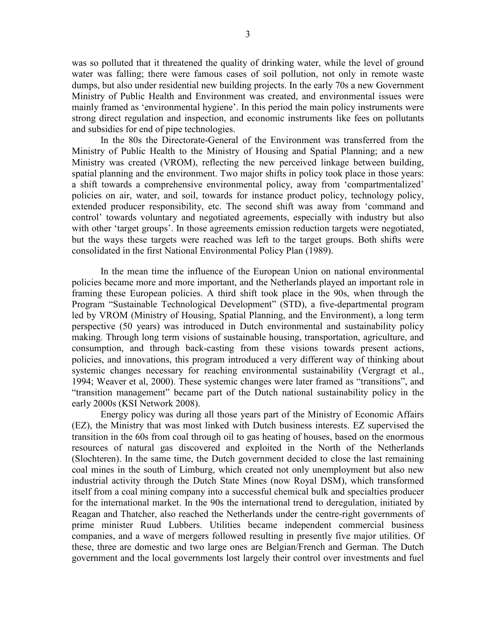was so polluted that it threatened the quality of drinking water, while the level of ground water was falling; there were famous cases of soil pollution, not only in remote waste dumps, but also under residential new building projects. In the early 70s a new Government Ministry of Public Health and Environment was created, and environmental issues were mainly framed as 'environmental hygiene'. In this period the main policy instruments were strong direct regulation and inspection, and economic instruments like fees on pollutants and subsidies for end of pipe technologies.

In the 80s the Directorate-General of the Environment was transferred from the Ministry of Public Health to the Ministry of Housing and Spatial Planning; and a new Ministry was created (VROM), reflecting the new perceived linkage between building, spatial planning and the environment. Two major shifts in policy took place in those years: a shift towards a comprehensive environmental policy, away from 'compartmentalized' policies on air, water, and soil, towards for instance product policy, technology policy, extended producer responsibility, etc. The second shift was away from 'command and control' towards voluntary and negotiated agreements, especially with industry but also with other 'target groups'. In those agreements emission reduction targets were negotiated, but the ways these targets were reached was left to the target groups. Both shifts were consolidated in the first National Environmental Policy Plan (1989).

In the mean time the influence of the European Union on national environmental policies became more and more important, and the Netherlands played an important role in framing these European policies. A third shift took place in the 90s, when through the Program "Sustainable Technological Development" (STD), a five-departmental program led by VROM (Ministry of Housing, Spatial Planning, and the Environment), a long term perspective (50 years) was introduced in Dutch environmental and sustainability policy making. Through long term visions of sustainable housing, transportation, agriculture, and consumption, and through back-casting from these visions towards present actions, policies, and innovations, this program introduced a very different way of thinking about systemic changes necessary for reaching environmental sustainability (Vergragt et al., 1994; Weaver et al, 2000). These systemic changes were later framed as "transitions", and "transition management" became part of the Dutch national sustainability policy in the early 2000s (KSI Network 2008).

Energy policy was during all those years part of the Ministry of Economic Affairs (EZ), the Ministry that was most linked with Dutch business interests. EZ supervised the transition in the 60s from coal through oil to gas heating of houses, based on the enormous resources of natural gas discovered and exploited in the North of the Netherlands (Slochteren). In the same time, the Dutch government decided to close the last remaining coal mines in the south of Limburg, which created not only unemployment but also new industrial activity through the Dutch State Mines (now Royal DSM), which transformed itself from a coal mining company into a successful chemical bulk and specialties producer for the international market. In the 90s the international trend to deregulation, initiated by Reagan and Thatcher, also reached the Netherlands under the centre-right governments of prime minister Ruud Lubbers. Utilities became independent commercial business companies, and a wave of mergers followed resulting in presently five major utilities. Of these, three are domestic and two large ones are Belgian/French and German. The Dutch government and the local governments lost largely their control over investments and fuel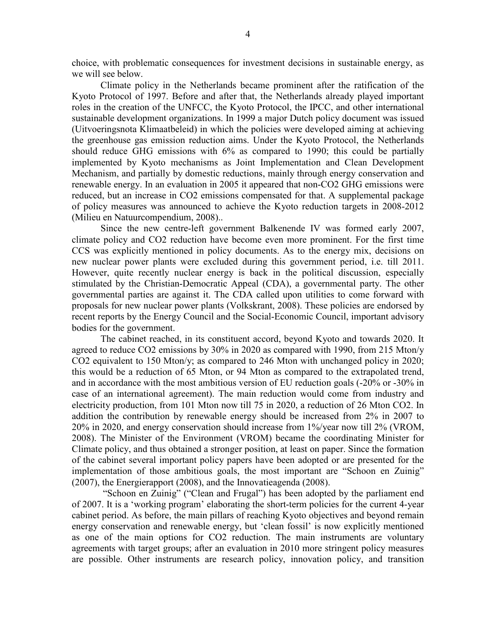choice, with problematic consequences for investment decisions in sustainable energy, as we will see below.

Climate policy in the Netherlands became prominent after the ratification of the Kyoto Protocol of 1997. Before and after that, the Netherlands already played important roles in the creation of the UNFCC, the Kyoto Protocol, the IPCC, and other international sustainable development organizations. In 1999 a major Dutch policy document was issued (Uitvoeringsnota Klimaatbeleid) in which the policies were developed aiming at achieving the greenhouse gas emission reduction aims. Under the Kyoto Protocol, the Netherlands should reduce GHG emissions with 6% as compared to 1990; this could be partially implemented by Kyoto mechanisms as Joint Implementation and Clean Development Mechanism, and partially by domestic reductions, mainly through energy conservation and renewable energy. In an evaluation in 2005 it appeared that non-CO2 GHG emissions were reduced, but an increase in CO2 emissions compensated for that. A supplemental package of policy measures was announced to achieve the Kyoto reduction targets in 2008-2012 (Milieu en Natuurcompendium, 2008)..

Since the new centre-left government Balkenende IV was formed early 2007, climate policy and CO2 reduction have become even more prominent. For the first time CCS was explicitly mentioned in policy documents. As to the energy mix, decisions on new nuclear power plants were excluded during this government period, i.e. till 2011. However, quite recently nuclear energy is back in the political discussion, especially stimulated by the Christian-Democratic Appeal (CDA), a governmental party. The other governmental parties are against it. The CDA called upon utilities to come forward with proposals for new nuclear power plants (Volkskrant, 2008). These policies are endorsed by recent reports by the Energy Council and the Social-Economic Council, important advisory bodies for the government.

The cabinet reached, in its constituent accord, beyond Kyoto and towards 2020. It agreed to reduce CO2 emissions by 30% in 2020 as compared with 1990, from 215 Mton/y CO2 equivalent to 150 Mton/y; as compared to 246 Mton with unchanged policy in 2020; this would be a reduction of 65 Mton, or 94 Mton as compared to the extrapolated trend, and in accordance with the most ambitious version of EU reduction goals (-20% or -30% in case of an international agreement). The main reduction would come from industry and electricity production, from 101 Mton now till 75 in 2020, a reduction of 26 Mton CO2. In addition the contribution by renewable energy should be increased from 2% in 2007 to 20% in 2020, and energy conservation should increase from 1%/year now till 2% (VROM, 2008). The Minister of the Environment (VROM) became the coordinating Minister for Climate policy, and thus obtained a stronger position, at least on paper. Since the formation of the cabinet several important policy papers have been adopted or are presented for the implementation of those ambitious goals, the most important are "Schoon en Zuinig" (2007), the Energierapport (2008), and the Innovatieagenda (2008).

 "Schoon en Zuinig" ("Clean and Frugal") has been adopted by the parliament end of 2007. It is a 'working program' elaborating the short-term policies for the current 4-year cabinet period. As before, the main pillars of reaching Kyoto objectives and beyond remain energy conservation and renewable energy, but 'clean fossil' is now explicitly mentioned as one of the main options for CO2 reduction. The main instruments are voluntary agreements with target groups; after an evaluation in 2010 more stringent policy measures are possible. Other instruments are research policy, innovation policy, and transition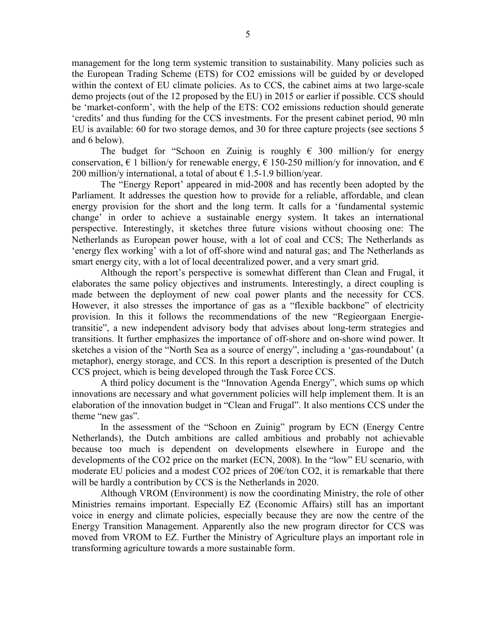management for the long term systemic transition to sustainability. Many policies such as the European Trading Scheme (ETS) for CO2 emissions will be guided by or developed within the context of EU climate policies. As to CCS, the cabinet aims at two large-scale demo projects (out of the 12 proposed by the EU) in 2015 or earlier if possible. CCS should be 'market-conform', with the help of the ETS: CO2 emissions reduction should generate 'credits' and thus funding for the CCS investments. For the present cabinet period, 90 mln EU is available: 60 for two storage demos, and 30 for three capture projects (see sections 5 and 6 below).

The budget for "Schoon en Zuinig is roughly  $\epsilon$  300 million/y for energy conservation,  $\epsilon$  1 billion/y for renewable energy,  $\epsilon$  150-250 million/y for innovation, and  $\epsilon$ 200 million/y international, a total of about  $\epsilon$  1.5-1.9 billion/year.

The "Energy Report' appeared in mid-2008 and has recently been adopted by the Parliament. It addresses the question how to provide for a reliable, affordable, and clean energy provision for the short and the long term. It calls for a 'fundamental systemic change' in order to achieve a sustainable energy system. It takes an international perspective. Interestingly, it sketches three future visions without choosing one: The Netherlands as European power house, with a lot of coal and CCS; The Netherlands as 'energy flex working' with a lot of off-shore wind and natural gas; and The Netherlands as smart energy city, with a lot of local decentralized power, and a very smart grid.

Although the report's perspective is somewhat different than Clean and Frugal, it elaborates the same policy objectives and instruments. Interestingly, a direct coupling is made between the deployment of new coal power plants and the necessity for CCS. However, it also stresses the importance of gas as a "flexible backbone" of electricity provision. In this it follows the recommendations of the new "Regieorgaan Energietransitie", a new independent advisory body that advises about long-term strategies and transitions. It further emphasizes the importance of off-shore and on-shore wind power. It sketches a vision of the "North Sea as a source of energy", including a 'gas-roundabout' (a metaphor), energy storage, and CCS. In this report a description is presented of the Dutch CCS project, which is being developed through the Task Force CCS.

A third policy document is the "Innovation Agenda Energy", which sums op which innovations are necessary and what government policies will help implement them. It is an elaboration of the innovation budget in "Clean and Frugal". It also mentions CCS under the theme "new gas".

In the assessment of the "Schoon en Zuinig" program by ECN (Energy Centre Netherlands), the Dutch ambitions are called ambitious and probably not achievable because too much is dependent on developments elsewhere in Europe and the developments of the CO2 price on the market (ECN, 2008). In the "low" EU scenario, with moderate EU policies and a modest CO2 prices of  $20 \in \mathcal{C}$  (to CO2, it is remarkable that there will be hardly a contribution by CCS is the Netherlands in 2020.

Although VROM (Environment) is now the coordinating Ministry, the role of other Ministries remains important. Especially EZ (Economic Affairs) still has an important voice in energy and climate policies, especially because they are now the centre of the Energy Transition Management. Apparently also the new program director for CCS was moved from VROM to EZ. Further the Ministry of Agriculture plays an important role in transforming agriculture towards a more sustainable form.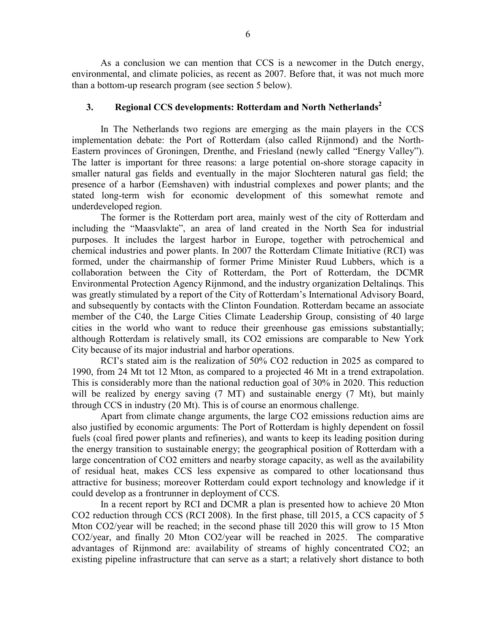As a conclusion we can mention that CCS is a newcomer in the Dutch energy, environmental, and climate policies, as recent as 2007. Before that, it was not much more than a bottom-up research program (see section 5 below).

# 3. Regional CCS developments: Rotterdam and North Netherlands<sup>2</sup>

In The Netherlands two regions are emerging as the main players in the CCS implementation debate: the Port of Rotterdam (also called Rijnmond) and the North-Eastern provinces of Groningen, Drenthe, and Friesland (newly called "Energy Valley"). The latter is important for three reasons: a large potential on-shore storage capacity in smaller natural gas fields and eventually in the major Slochteren natural gas field; the presence of a harbor (Eemshaven) with industrial complexes and power plants; and the stated long-term wish for economic development of this somewhat remote and underdeveloped region.

The former is the Rotterdam port area, mainly west of the city of Rotterdam and including the "Maasvlakte", an area of land created in the North Sea for industrial purposes. It includes the largest harbor in Europe, together with petrochemical and chemical industries and power plants. In 2007 the Rotterdam Climate Initiative (RCI) was formed, under the chairmanship of former Prime Minister Ruud Lubbers, which is a collaboration between the City of Rotterdam, the Port of Rotterdam, the DCMR Environmental Protection Agency Rijnmond, and the industry organization Deltalinqs. This was greatly stimulated by a report of the City of Rotterdam's International Advisory Board, and subsequently by contacts with the Clinton Foundation. Rotterdam became an associate member of the C40, the Large Cities Climate Leadership Group, consisting of 40 large cities in the world who want to reduce their greenhouse gas emissions substantially; although Rotterdam is relatively small, its CO2 emissions are comparable to New York City because of its major industrial and harbor operations.

RCI's stated aim is the realization of 50% CO2 reduction in 2025 as compared to 1990, from 24 Mt tot 12 Mton, as compared to a projected 46 Mt in a trend extrapolation. This is considerably more than the national reduction goal of 30% in 2020. This reduction will be realized by energy saving (7 MT) and sustainable energy (7 Mt), but mainly through CCS in industry (20 Mt). This is of course an enormous challenge.

Apart from climate change arguments, the large CO2 emissions reduction aims are also justified by economic arguments: The Port of Rotterdam is highly dependent on fossil fuels (coal fired power plants and refineries), and wants to keep its leading position during the energy transition to sustainable energy; the geographical position of Rotterdam with a large concentration of CO2 emitters and nearby storage capacity, as well as the availability of residual heat, makes CCS less expensive as compared to other locationsand thus attractive for business; moreover Rotterdam could export technology and knowledge if it could develop as a frontrunner in deployment of CCS.

In a recent report by RCI and DCMR a plan is presented how to achieve 20 Mton CO2 reduction through CCS (RCI 2008). In the first phase, till 2015, a CCS capacity of 5 Mton CO2/year will be reached; in the second phase till 2020 this will grow to 15 Mton CO2/year, and finally 20 Mton CO2/year will be reached in 2025. The comparative advantages of Rijnmond are: availability of streams of highly concentrated CO2; an existing pipeline infrastructure that can serve as a start; a relatively short distance to both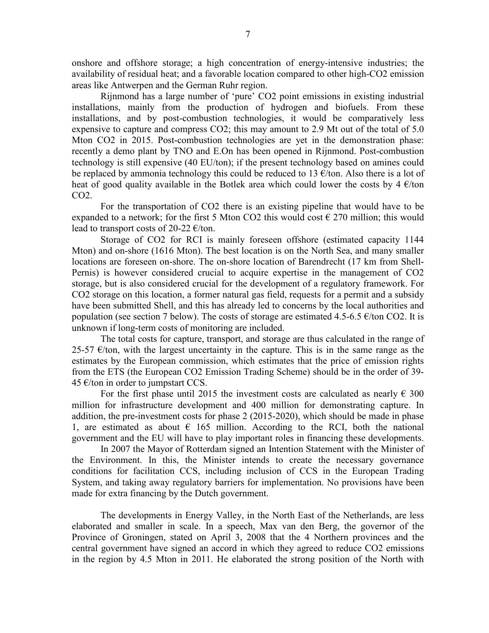onshore and offshore storage; a high concentration of energy-intensive industries; the availability of residual heat; and a favorable location compared to other high-CO2 emission areas like Antwerpen and the German Ruhr region.

Rijnmond has a large number of 'pure' CO2 point emissions in existing industrial installations, mainly from the production of hydrogen and biofuels. From these installations, and by post-combustion technologies, it would be comparatively less expensive to capture and compress CO2; this may amount to 2.9 Mt out of the total of 5.0 Mton CO2 in 2015. Post-combustion technologies are yet in the demonstration phase: recently a demo plant by TNO and E.On has been opened in Rijnmond. Post-combustion technology is still expensive (40 EU/ton); if the present technology based on amines could be replaced by ammonia technology this could be reduced to 13  $\epsilon$ /ton. Also there is a lot of heat of good quality available in the Botlek area which could lower the costs by  $4 \text{ }\epsilon$ /ton CO2.

For the transportation of CO2 there is an existing pipeline that would have to be expanded to a network; for the first 5 Mton CO2 this would cost  $\epsilon$  270 million; this would lead to transport costs of 20-22  $\epsilon$ /ton.

Storage of CO2 for RCI is mainly foreseen offshore (estimated capacity 1144 Mton) and on-shore (1616 Mton). The best location is on the North Sea, and many smaller locations are foreseen on-shore. The on-shore location of Barendrecht (17 km from Shell-Pernis) is however considered crucial to acquire expertise in the management of CO2 storage, but is also considered crucial for the development of a regulatory framework. For CO2 storage on this location, a former natural gas field, requests for a permit and a subsidy have been submitted Shell, and this has already led to concerns by the local authorities and population (see section 7 below). The costs of storage are estimated 4.5-6.5  $\epsilon$ /ton CO2. It is unknown if long-term costs of monitoring are included.

The total costs for capture, transport, and storage are thus calculated in the range of 25-57  $\epsilon$ /ton, with the largest uncertainty in the capture. This is in the same range as the estimates by the European commission, which estimates that the price of emission rights from the ETS (the European CO2 Emission Trading Scheme) should be in the order of 39- 45  $€/ton$  in order to jumpstart CCS.

For the first phase until 2015 the investment costs are calculated as nearly  $\epsilon$  300 million for infrastructure development and 400 million for demonstrating capture. In addition, the pre-investment costs for phase 2 (2015-2020), which should be made in phase 1, are estimated as about  $\epsilon$  165 million. According to the RCI, both the national government and the EU will have to play important roles in financing these developments.

 In 2007 the Mayor of Rotterdam signed an Intention Statement with the Minister of the Environment. In this, the Minister intends to create the necessary governance conditions for facilitation CCS, including inclusion of CCS in the European Trading System, and taking away regulatory barriers for implementation. No provisions have been made for extra financing by the Dutch government.

The developments in Energy Valley, in the North East of the Netherlands, are less elaborated and smaller in scale. In a speech, Max van den Berg, the governor of the Province of Groningen, stated on April 3, 2008 that the 4 Northern provinces and the central government have signed an accord in which they agreed to reduce CO2 emissions in the region by 4.5 Mton in 2011. He elaborated the strong position of the North with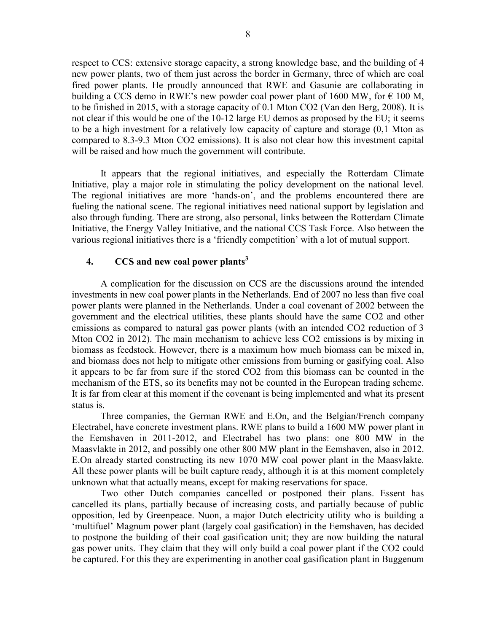respect to CCS: extensive storage capacity, a strong knowledge base, and the building of 4 new power plants, two of them just across the border in Germany, three of which are coal fired power plants. He proudly announced that RWE and Gasunie are collaborating in building a CCS demo in RWE's new powder coal power plant of 1600 MW, for  $\epsilon$  100 M, to be finished in 2015, with a storage capacity of 0.1 Mton CO2 (Van den Berg, 2008). It is not clear if this would be one of the 10-12 large EU demos as proposed by the EU; it seems to be a high investment for a relatively low capacity of capture and storage (0,1 Mton as compared to 8.3-9.3 Mton CO2 emissions). It is also not clear how this investment capital will be raised and how much the government will contribute.

It appears that the regional initiatives, and especially the Rotterdam Climate Initiative, play a major role in stimulating the policy development on the national level. The regional initiatives are more 'hands-on', and the problems encountered there are fueling the national scene. The regional initiatives need national support by legislation and also through funding. There are strong, also personal, links between the Rotterdam Climate Initiative, the Energy Valley Initiative, and the national CCS Task Force. Also between the various regional initiatives there is a 'friendly competition' with a lot of mutual support.

# 4.  $CCS$  and new coal power plants<sup>3</sup>

A complication for the discussion on CCS are the discussions around the intended investments in new coal power plants in the Netherlands. End of 2007 no less than five coal power plants were planned in the Netherlands. Under a coal covenant of 2002 between the government and the electrical utilities, these plants should have the same CO2 and other emissions as compared to natural gas power plants (with an intended CO2 reduction of 3 Mton CO2 in 2012). The main mechanism to achieve less CO2 emissions is by mixing in biomass as feedstock. However, there is a maximum how much biomass can be mixed in, and biomass does not help to mitigate other emissions from burning or gasifying coal. Also it appears to be far from sure if the stored CO2 from this biomass can be counted in the mechanism of the ETS, so its benefits may not be counted in the European trading scheme. It is far from clear at this moment if the covenant is being implemented and what its present status is.

Three companies, the German RWE and E.On, and the Belgian/French company Electrabel, have concrete investment plans. RWE plans to build a 1600 MW power plant in the Eemshaven in 2011-2012, and Electrabel has two plans: one 800 MW in the Maasvlakte in 2012, and possibly one other 800 MW plant in the Eemshaven, also in 2012. E.On already started constructing its new 1070 MW coal power plant in the Maasvlakte. All these power plants will be built capture ready, although it is at this moment completely unknown what that actually means, except for making reservations for space.

Two other Dutch companies cancelled or postponed their plans. Essent has cancelled its plans, partially because of increasing costs, and partially because of public opposition, led by Greenpeace. Nuon, a major Dutch electricity utility who is building a 'multifuel' Magnum power plant (largely coal gasification) in the Eemshaven, has decided to postpone the building of their coal gasification unit; they are now building the natural gas power units. They claim that they will only build a coal power plant if the CO2 could be captured. For this they are experimenting in another coal gasification plant in Buggenum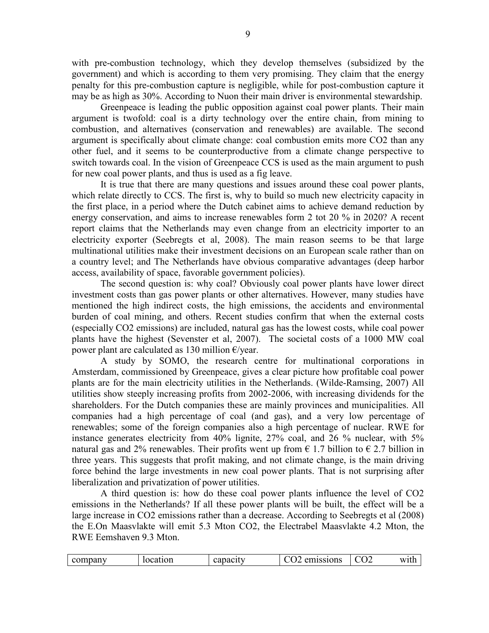with pre-combustion technology, which they develop themselves (subsidized by the government) and which is according to them very promising. They claim that the energy penalty for this pre-combustion capture is negligible, while for post-combustion capture it may be as high as 30%. According to Nuon their main driver is environmental stewardship.

Greenpeace is leading the public opposition against coal power plants. Their main argument is twofold: coal is a dirty technology over the entire chain, from mining to combustion, and alternatives (conservation and renewables) are available. The second argument is specifically about climate change: coal combustion emits more CO2 than any other fuel, and it seems to be counterproductive from a climate change perspective to switch towards coal. In the vision of Greenpeace CCS is used as the main argument to push for new coal power plants, and thus is used as a fig leave.

It is true that there are many questions and issues around these coal power plants, which relate directly to CCS. The first is, why to build so much new electricity capacity in the first place, in a period where the Dutch cabinet aims to achieve demand reduction by energy conservation, and aims to increase renewables form 2 tot 20 % in 2020? A recent report claims that the Netherlands may even change from an electricity importer to an electricity exporter (Seebregts et al, 2008). The main reason seems to be that large multinational utilities make their investment decisions on an European scale rather than on a country level; and The Netherlands have obvious comparative advantages (deep harbor access, availability of space, favorable government policies).

The second question is: why coal? Obviously coal power plants have lower direct investment costs than gas power plants or other alternatives. However, many studies have mentioned the high indirect costs, the high emissions, the accidents and environmental burden of coal mining, and others. Recent studies confirm that when the external costs (especially CO2 emissions) are included, natural gas has the lowest costs, while coal power plants have the highest (Sevenster et al, 2007). The societal costs of a 1000 MW coal power plant are calculated as 130 million €/year.

A study by SOMO, the research centre for multinational corporations in Amsterdam, commissioned by Greenpeace, gives a clear picture how profitable coal power plants are for the main electricity utilities in the Netherlands. (Wilde-Ramsing, 2007) All utilities show steeply increasing profits from 2002-2006, with increasing dividends for the shareholders. For the Dutch companies these are mainly provinces and municipalities. All companies had a high percentage of coal (and gas), and a very low percentage of renewables; some of the foreign companies also a high percentage of nuclear. RWE for instance generates electricity from 40% lignite, 27% coal, and 26 % nuclear, with 5% natural gas and 2% renewables. Their profits went up from  $\epsilon$  1.7 billion to  $\epsilon$  2.7 billion in three years. This suggests that profit making, and not climate change, is the main driving force behind the large investments in new coal power plants. That is not surprising after liberalization and privatization of power utilities.

A third question is: how do these coal power plants influence the level of CO2 emissions in the Netherlands? If all these power plants will be built, the effect will be a large increase in CO2 emissions rather than a decrease. According to Seebregts et al (2008) the E.On Maasvlakte will emit 5.3 Mton CO2, the Electrabel Maasvlakte 4.2 Mton, the RWE Eemshaven 9.3 Mton.

| company | location | capacity | emissions | $\Omega$ | with |
|---------|----------|----------|-----------|----------|------|
|---------|----------|----------|-----------|----------|------|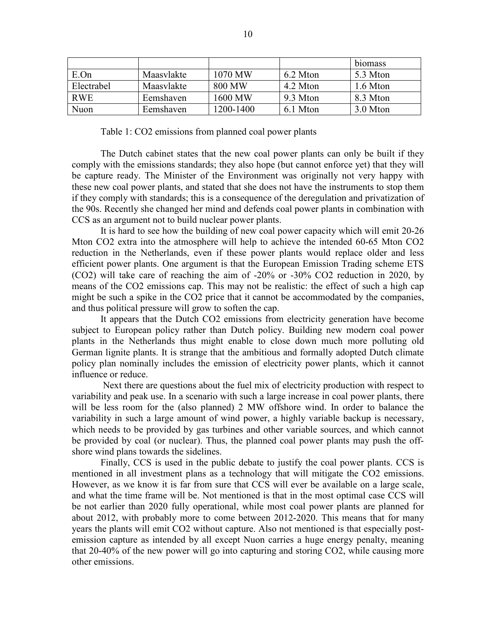|            |            |           |          | biomass  |
|------------|------------|-----------|----------|----------|
| E.On       | Maasvlakte | 1070 MW   | 6.2 Mton | 5.3 Mton |
| Electrabel | Maasvlakte | 800 MW    | 4.2 Mton | 1.6 Mton |
| <b>RWE</b> | Eemshaven  | 1600 MW   | 9.3 Mton | 8.3 Mton |
| Nuon       | Eemshaven  | 1200-1400 | 6.1 Mton | 3.0 Mton |

Table 1: CO2 emissions from planned coal power plants

The Dutch cabinet states that the new coal power plants can only be built if they comply with the emissions standards; they also hope (but cannot enforce yet) that they will be capture ready. The Minister of the Environment was originally not very happy with these new coal power plants, and stated that she does not have the instruments to stop them if they comply with standards; this is a consequence of the deregulation and privatization of the 90s. Recently she changed her mind and defends coal power plants in combination with CCS as an argument not to build nuclear power plants.

It is hard to see how the building of new coal power capacity which will emit 20-26 Mton CO2 extra into the atmosphere will help to achieve the intended 60-65 Mton CO2 reduction in the Netherlands, even if these power plants would replace older and less efficient power plants. One argument is that the European Emission Trading scheme ETS (CO2) will take care of reaching the aim of -20% or -30% CO2 reduction in 2020, by means of the CO2 emissions cap. This may not be realistic: the effect of such a high cap might be such a spike in the CO2 price that it cannot be accommodated by the companies, and thus political pressure will grow to soften the cap.

It appears that the Dutch CO2 emissions from electricity generation have become subject to European policy rather than Dutch policy. Building new modern coal power plants in the Netherlands thus might enable to close down much more polluting old German lignite plants. It is strange that the ambitious and formally adopted Dutch climate policy plan nominally includes the emission of electricity power plants, which it cannot influence or reduce.

 Next there are questions about the fuel mix of electricity production with respect to variability and peak use. In a scenario with such a large increase in coal power plants, there will be less room for the (also planned) 2 MW offshore wind. In order to balance the variability in such a large amount of wind power, a highly variable backup is necessary, which needs to be provided by gas turbines and other variable sources, and which cannot be provided by coal (or nuclear). Thus, the planned coal power plants may push the offshore wind plans towards the sidelines.

Finally, CCS is used in the public debate to justify the coal power plants. CCS is mentioned in all investment plans as a technology that will mitigate the CO2 emissions. However, as we know it is far from sure that CCS will ever be available on a large scale, and what the time frame will be. Not mentioned is that in the most optimal case CCS will be not earlier than 2020 fully operational, while most coal power plants are planned for about 2012, with probably more to come between 2012-2020. This means that for many years the plants will emit CO2 without capture. Also not mentioned is that especially postemission capture as intended by all except Nuon carries a huge energy penalty, meaning that 20-40% of the new power will go into capturing and storing CO2, while causing more other emissions.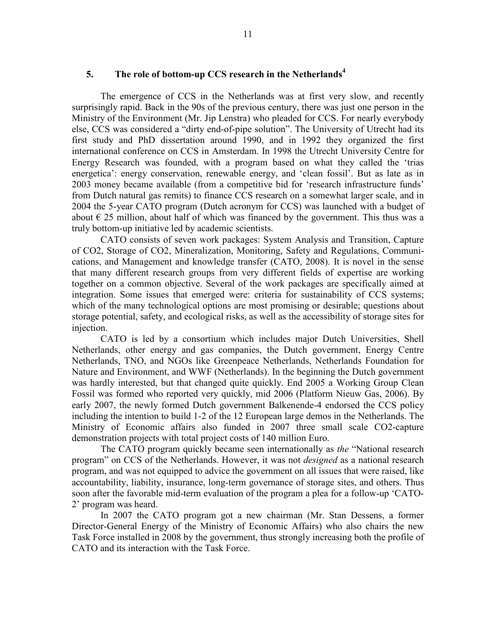# 5. The role of bottom-up CCS research in the Netherlands<sup>4</sup>

The emergence of CCS in the Netherlands was at first very slow, and recently surprisingly rapid. Back in the 90s of the previous century, there was just one person in the Ministry of the Environment (Mr. Jip Lenstra) who pleaded for CCS. For nearly everybody else, CCS was considered a "dirty end-of-pipe solution". The University of Utrecht had its first study and PhD dissertation around 1990, and in 1992 they organized the first international conference on CCS in Amsterdam. In 1998 the Utrecht University Centre for Energy Research was founded, with a program based on what they called the 'trias energetica': energy conservation, renewable energy, and 'clean fossil'. But as late as in 2003 money became available (from a competitive bid for 'research infrastructure funds' from Dutch natural gas remits) to finance CCS research on a somewhat larger scale, and in 2004 the 5-year CATO program (Dutch acronym for CCS) was launched with a budget of about  $\epsilon$  25 million, about half of which was financed by the government. This thus was a truly bottom-up initiative led by academic scientists.

CATO consists of seven work packages: System Analysis and Transition, Capture of CO2, Storage of CO2, Mineralization, Monitoring, Safety and Regulations, Communications, and Management and knowledge transfer (CATO, 2008). It is novel in the sense that many different research groups from very different fields of expertise are working together on a common objective. Several of the work packages are specifically aimed at integration. Some issues that emerged were: criteria for sustainability of CCS systems; which of the many technological options are most promising or desirable; questions about storage potential, safety, and ecological risks, as well as the accessibility of storage sites for injection.

CATO is led by a consortium which includes major Dutch Universities, Shell Netherlands, other energy and gas companies, the Dutch government, Energy Centre Netherlands, TNO, and NGOs like Greenpeace Netherlands, Netherlands Foundation for Nature and Environment, and WWF (Netherlands). In the beginning the Dutch government was hardly interested, but that changed quite quickly. End 2005 a Working Group Clean Fossil was formed who reported very quickly, mid 2006 (Platform Nieuw Gas, 2006). By early 2007, the newly formed Dutch government Balkenende-4 endorsed the CCS policy including the intention to build 1-2 of the 12 European large demos in the Netherlands. The Ministry of Economic affairs also funded in 2007 three small scale CO2-capture demonstration projects with total project costs of 140 million Euro.

The CATO program quickly became seen internationally as the "National research program" on CCS of the Netherlands. However, it was not designed as a national research program, and was not equipped to advice the government on all issues that were raised, like accountability, liability, insurance, long-term governance of storage sites, and others. Thus soon after the favorable mid-term evaluation of the program a plea for a follow-up 'CATO-2' program was heard.

In 2007 the CATO program got a new chairman (Mr. Stan Dessens, a former Director-General Energy of the Ministry of Economic Affairs) who also chairs the new Task Force installed in 2008 by the government, thus strongly increasing both the profile of CATO and its interaction with the Task Force.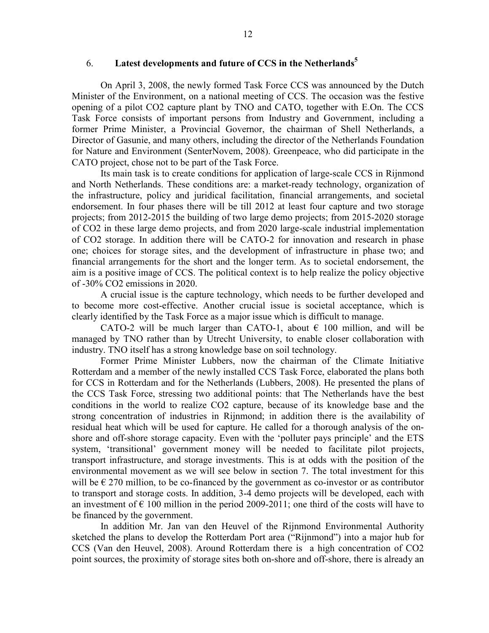### 6. Latest developments and future of CCS in the Netherlands<sup>5</sup>

On April 3, 2008, the newly formed Task Force CCS was announced by the Dutch Minister of the Environment, on a national meeting of CCS. The occasion was the festive opening of a pilot CO2 capture plant by TNO and CATO, together with E.On. The CCS Task Force consists of important persons from Industry and Government, including a former Prime Minister, a Provincial Governor, the chairman of Shell Netherlands, a Director of Gasunie, and many others, including the director of the Netherlands Foundation for Nature and Environment (SenterNovem, 2008). Greenpeace, who did participate in the CATO project, chose not to be part of the Task Force.

Its main task is to create conditions for application of large-scale CCS in Rijnmond and North Netherlands. These conditions are: a market-ready technology, organization of the infrastructure, policy and juridical facilitation, financial arrangements, and societal endorsement. In four phases there will be till 2012 at least four capture and two storage projects; from 2012-2015 the building of two large demo projects; from 2015-2020 storage of CO2 in these large demo projects, and from 2020 large-scale industrial implementation of CO2 storage. In addition there will be CATO-2 for innovation and research in phase one; choices for storage sites, and the development of infrastructure in phase two; and financial arrangements for the short and the longer term. As to societal endorsement, the aim is a positive image of CCS. The political context is to help realize the policy objective of -30% CO2 emissions in 2020.

A crucial issue is the capture technology, which needs to be further developed and to become more cost-effective. Another crucial issue is societal acceptance, which is clearly identified by the Task Force as a major issue which is difficult to manage.

CATO-2 will be much larger than CATO-1, about  $\epsilon$  100 million, and will be managed by TNO rather than by Utrecht University, to enable closer collaboration with industry. TNO itself has a strong knowledge base on soil technology.

Former Prime Minister Lubbers, now the chairman of the Climate Initiative Rotterdam and a member of the newly installed CCS Task Force, elaborated the plans both for CCS in Rotterdam and for the Netherlands (Lubbers, 2008). He presented the plans of the CCS Task Force, stressing two additional points: that The Netherlands have the best conditions in the world to realize CO2 capture, because of its knowledge base and the strong concentration of industries in Rijnmond; in addition there is the availability of residual heat which will be used for capture. He called for a thorough analysis of the onshore and off-shore storage capacity. Even with the 'polluter pays principle' and the ETS system, 'transitional' government money will be needed to facilitate pilot projects, transport infrastructure, and storage investments. This is at odds with the position of the environmental movement as we will see below in section 7. The total investment for this will be  $\epsilon$  270 million, to be co-financed by the government as co-investor or as contributor to transport and storage costs. In addition, 3-4 demo projects will be developed, each with an investment of  $\epsilon$  100 million in the period 2009-2011; one third of the costs will have to be financed by the government.

In addition Mr. Jan van den Heuvel of the Rijnmond Environmental Authority sketched the plans to develop the Rotterdam Port area ("Rijnmond") into a major hub for CCS (Van den Heuvel, 2008). Around Rotterdam there is a high concentration of CO2 point sources, the proximity of storage sites both on-shore and off-shore, there is already an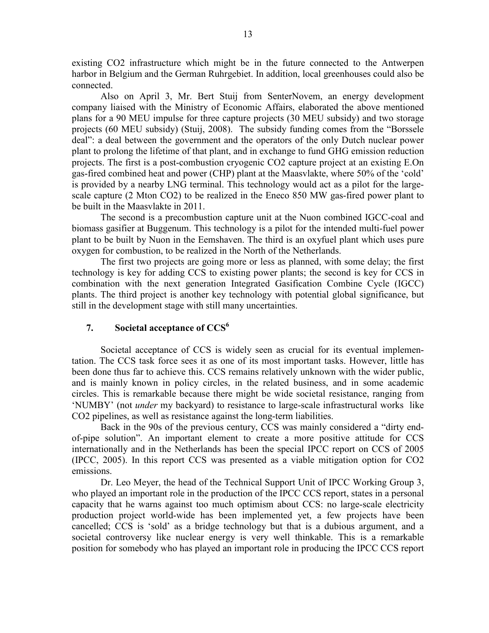existing CO2 infrastructure which might be in the future connected to the Antwerpen harbor in Belgium and the German Ruhrgebiet. In addition, local greenhouses could also be connected.

Also on April 3, Mr. Bert Stuij from SenterNovem, an energy development company liaised with the Ministry of Economic Affairs, elaborated the above mentioned plans for a 90 MEU impulse for three capture projects (30 MEU subsidy) and two storage projects (60 MEU subsidy) (Stuij, 2008). The subsidy funding comes from the "Borssele deal": a deal between the government and the operators of the only Dutch nuclear power plant to prolong the lifetime of that plant, and in exchange to fund GHG emission reduction projects. The first is a post-combustion cryogenic CO2 capture project at an existing E.On gas-fired combined heat and power (CHP) plant at the Maasvlakte, where 50% of the 'cold' is provided by a nearby LNG terminal. This technology would act as a pilot for the largescale capture (2 Mton CO2) to be realized in the Eneco 850 MW gas-fired power plant to be built in the Maasvlakte in 2011.

The second is a precombustion capture unit at the Nuon combined IGCC-coal and biomass gasifier at Buggenum. This technology is a pilot for the intended multi-fuel power plant to be built by Nuon in the Eemshaven. The third is an oxyfuel plant which uses pure oxygen for combustion, to be realized in the North of the Netherlands.

The first two projects are going more or less as planned, with some delay; the first technology is key for adding CCS to existing power plants; the second is key for CCS in combination with the next generation Integrated Gasification Combine Cycle (IGCC) plants. The third project is another key technology with potential global significance, but still in the development stage with still many uncertainties.

# 7. Societal acceptance of  $CCS<sup>6</sup>$

Societal acceptance of CCS is widely seen as crucial for its eventual implementation. The CCS task force sees it as one of its most important tasks. However, little has been done thus far to achieve this. CCS remains relatively unknown with the wider public, and is mainly known in policy circles, in the related business, and in some academic circles. This is remarkable because there might be wide societal resistance, ranging from 'NUMBY' (not under my backyard) to resistance to large-scale infrastructural works like CO2 pipelines, as well as resistance against the long-term liabilities.

Back in the 90s of the previous century, CCS was mainly considered a "dirty endof-pipe solution". An important element to create a more positive attitude for CCS internationally and in the Netherlands has been the special IPCC report on CCS of 2005 (IPCC, 2005). In this report CCS was presented as a viable mitigation option for CO2 emissions.

Dr. Leo Meyer, the head of the Technical Support Unit of IPCC Working Group 3, who played an important role in the production of the IPCC CCS report, states in a personal capacity that he warns against too much optimism about CCS: no large-scale electricity production project world-wide has been implemented yet, a few projects have been cancelled; CCS is 'sold' as a bridge technology but that is a dubious argument, and a societal controversy like nuclear energy is very well thinkable. This is a remarkable position for somebody who has played an important role in producing the IPCC CCS report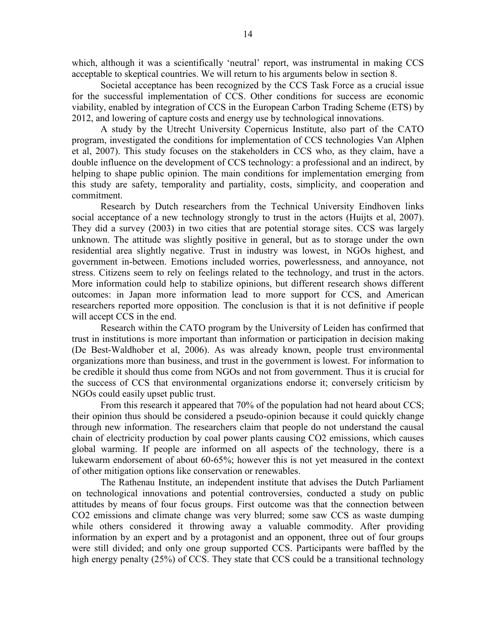which, although it was a scientifically 'neutral' report, was instrumental in making CCS acceptable to skeptical countries. We will return to his arguments below in section 8.

Societal acceptance has been recognized by the CCS Task Force as a crucial issue for the successful implementation of CCS. Other conditions for success are economic viability, enabled by integration of CCS in the European Carbon Trading Scheme (ETS) by 2012, and lowering of capture costs and energy use by technological innovations.

A study by the Utrecht University Copernicus Institute, also part of the CATO program, investigated the conditions for implementation of CCS technologies Van Alphen et al, 2007). This study focuses on the stakeholders in CCS who, as they claim, have a double influence on the development of CCS technology: a professional and an indirect, by helping to shape public opinion. The main conditions for implementation emerging from this study are safety, temporality and partiality, costs, simplicity, and cooperation and commitment.

Research by Dutch researchers from the Technical University Eindhoven links social acceptance of a new technology strongly to trust in the actors (Huijts et al, 2007). They did a survey (2003) in two cities that are potential storage sites. CCS was largely unknown. The attitude was slightly positive in general, but as to storage under the own residential area slightly negative. Trust in industry was lowest, in NGOs highest, and government in-between. Emotions included worries, powerlessness, and annoyance, not stress. Citizens seem to rely on feelings related to the technology, and trust in the actors. More information could help to stabilize opinions, but different research shows different outcomes: in Japan more information lead to more support for CCS, and American researchers reported more opposition. The conclusion is that it is not definitive if people will accept CCS in the end.

Research within the CATO program by the University of Leiden has confirmed that trust in institutions is more important than information or participation in decision making (De Best-Waldhober et al, 2006). As was already known, people trust environmental organizations more than business, and trust in the government is lowest. For information to be credible it should thus come from NGOs and not from government. Thus it is crucial for the success of CCS that environmental organizations endorse it; conversely criticism by NGOs could easily upset public trust.

From this research it appeared that 70% of the population had not heard about CCS; their opinion thus should be considered a pseudo-opinion because it could quickly change through new information. The researchers claim that people do not understand the causal chain of electricity production by coal power plants causing CO2 emissions, which causes global warming. If people are informed on all aspects of the technology, there is a lukewarm endorsement of about 60-65%; however this is not yet measured in the context of other mitigation options like conservation or renewables.

The Rathenau Institute, an independent institute that advises the Dutch Parliament on technological innovations and potential controversies, conducted a study on public attitudes by means of four focus groups. First outcome was that the connection between CO2 emissions and climate change was very blurred; some saw CCS as waste dumping while others considered it throwing away a valuable commodity. After providing information by an expert and by a protagonist and an opponent, three out of four groups were still divided; and only one group supported CCS. Participants were baffled by the high energy penalty (25%) of CCS. They state that CCS could be a transitional technology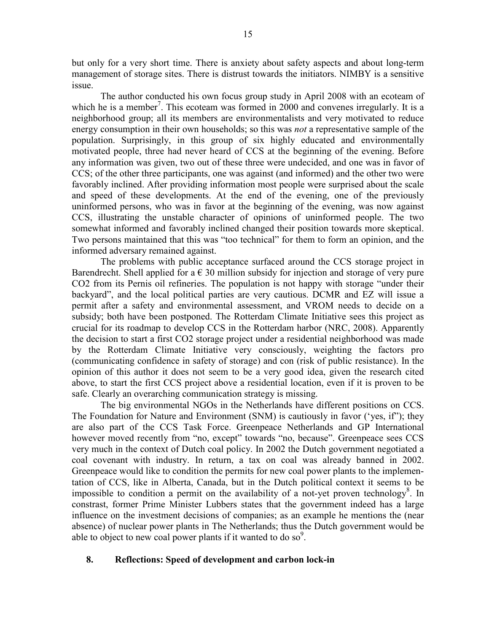but only for a very short time. There is anxiety about safety aspects and about long-term management of storage sites. There is distrust towards the initiators. NIMBY is a sensitive issue.

The author conducted his own focus group study in April 2008 with an ecoteam of which he is a member<sup>7</sup>. This ecoteam was formed in 2000 and convenes irregularly. It is a neighborhood group; all its members are environmentalists and very motivated to reduce energy consumption in their own households; so this was *not* a representative sample of the population. Surprisingly, in this group of six highly educated and environmentally motivated people, three had never heard of CCS at the beginning of the evening. Before any information was given, two out of these three were undecided, and one was in favor of CCS; of the other three participants, one was against (and informed) and the other two were favorably inclined. After providing information most people were surprised about the scale and speed of these developments. At the end of the evening, one of the previously uninformed persons, who was in favor at the beginning of the evening, was now against CCS, illustrating the unstable character of opinions of uninformed people. The two somewhat informed and favorably inclined changed their position towards more skeptical. Two persons maintained that this was "too technical" for them to form an opinion, and the informed adversary remained against.

The problems with public acceptance surfaced around the CCS storage project in Barendrecht. Shell applied for a  $\epsilon$  30 million subsidy for injection and storage of very pure CO2 from its Pernis oil refineries. The population is not happy with storage "under their backyard", and the local political parties are very cautious. DCMR and EZ will issue a permit after a safety and environmental assessment, and VROM needs to decide on a subsidy; both have been postponed. The Rotterdam Climate Initiative sees this project as crucial for its roadmap to develop CCS in the Rotterdam harbor (NRC, 2008). Apparently the decision to start a first CO2 storage project under a residential neighborhood was made by the Rotterdam Climate Initiative very consciously, weighting the factors pro (communicating confidence in safety of storage) and con (risk of public resistance). In the opinion of this author it does not seem to be a very good idea, given the research cited above, to start the first CCS project above a residential location, even if it is proven to be safe. Clearly an overarching communication strategy is missing.

The big environmental NGOs in the Netherlands have different positions on CCS. The Foundation for Nature and Environment (SNM) is cautiously in favor ('yes, if"); they are also part of the CCS Task Force. Greenpeace Netherlands and GP International however moved recently from "no, except" towards "no, because". Greenpeace sees CCS very much in the context of Dutch coal policy. In 2002 the Dutch government negotiated a coal covenant with industry. In return, a tax on coal was already banned in 2002. Greenpeace would like to condition the permits for new coal power plants to the implementation of CCS, like in Alberta, Canada, but in the Dutch political context it seems to be impossible to condition a permit on the availability of a not-yet proven technology $8$ . In constrast, former Prime Minister Lubbers states that the government indeed has a large influence on the investment decisions of companies; as an example he mentions the (near absence) of nuclear power plants in The Netherlands; thus the Dutch government would be able to object to new coal power plants if it wanted to do so<sup>9</sup>.

### 8. Reflections: Speed of development and carbon lock-in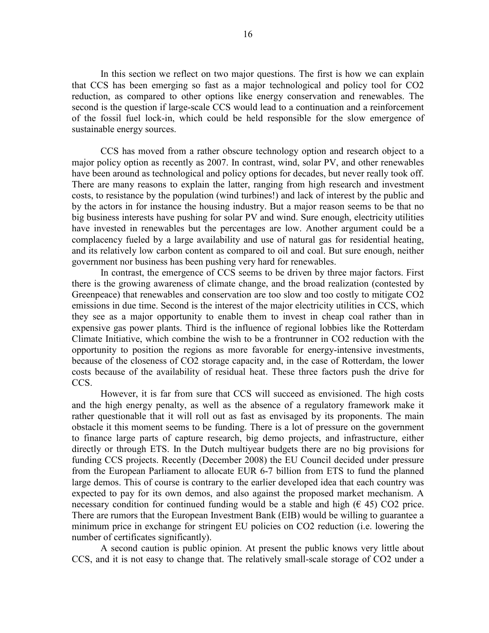In this section we reflect on two major questions. The first is how we can explain that CCS has been emerging so fast as a major technological and policy tool for CO2 reduction, as compared to other options like energy conservation and renewables. The second is the question if large-scale CCS would lead to a continuation and a reinforcement of the fossil fuel lock-in, which could be held responsible for the slow emergence of sustainable energy sources.

CCS has moved from a rather obscure technology option and research object to a major policy option as recently as 2007. In contrast, wind, solar PV, and other renewables have been around as technological and policy options for decades, but never really took off. There are many reasons to explain the latter, ranging from high research and investment costs, to resistance by the population (wind turbines!) and lack of interest by the public and by the actors in for instance the housing industry. But a major reason seems to be that no big business interests have pushing for solar PV and wind. Sure enough, electricity utilities have invested in renewables but the percentages are low. Another argument could be a complacency fueled by a large availability and use of natural gas for residential heating, and its relatively low carbon content as compared to oil and coal. But sure enough, neither government nor business has been pushing very hard for renewables.

In contrast, the emergence of CCS seems to be driven by three major factors. First there is the growing awareness of climate change, and the broad realization (contested by Greenpeace) that renewables and conservation are too slow and too costly to mitigate CO2 emissions in due time. Second is the interest of the major electricity utilities in CCS, which they see as a major opportunity to enable them to invest in cheap coal rather than in expensive gas power plants. Third is the influence of regional lobbies like the Rotterdam Climate Initiative, which combine the wish to be a frontrunner in CO2 reduction with the opportunity to position the regions as more favorable for energy-intensive investments, because of the closeness of CO2 storage capacity and, in the case of Rotterdam, the lower costs because of the availability of residual heat. These three factors push the drive for CCS.

However, it is far from sure that CCS will succeed as envisioned. The high costs and the high energy penalty, as well as the absence of a regulatory framework make it rather questionable that it will roll out as fast as envisaged by its proponents. The main obstacle it this moment seems to be funding. There is a lot of pressure on the government to finance large parts of capture research, big demo projects, and infrastructure, either directly or through ETS. In the Dutch multiyear budgets there are no big provisions for funding CCS projects. Recently (December 2008) the EU Council decided under pressure from the European Parliament to allocate EUR 6-7 billion from ETS to fund the planned large demos. This of course is contrary to the earlier developed idea that each country was expected to pay for its own demos, and also against the proposed market mechanism. A necessary condition for continued funding would be a stable and high  $(6.45)$  CO2 price. There are rumors that the European Investment Bank (EIB) would be willing to guarantee a minimum price in exchange for stringent EU policies on CO2 reduction (i.e. lowering the number of certificates significantly).

A second caution is public opinion. At present the public knows very little about CCS, and it is not easy to change that. The relatively small-scale storage of CO2 under a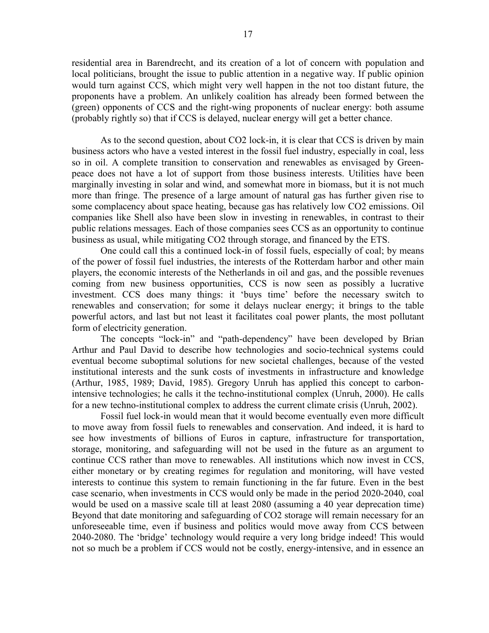residential area in Barendrecht, and its creation of a lot of concern with population and local politicians, brought the issue to public attention in a negative way. If public opinion would turn against CCS, which might very well happen in the not too distant future, the proponents have a problem. An unlikely coalition has already been formed between the (green) opponents of CCS and the right-wing proponents of nuclear energy: both assume (probably rightly so) that if CCS is delayed, nuclear energy will get a better chance.

As to the second question, about CO2 lock-in, it is clear that CCS is driven by main business actors who have a vested interest in the fossil fuel industry, especially in coal, less so in oil. A complete transition to conservation and renewables as envisaged by Greenpeace does not have a lot of support from those business interests. Utilities have been marginally investing in solar and wind, and somewhat more in biomass, but it is not much more than fringe. The presence of a large amount of natural gas has further given rise to some complacency about space heating, because gas has relatively low CO2 emissions. Oil companies like Shell also have been slow in investing in renewables, in contrast to their public relations messages. Each of those companies sees CCS as an opportunity to continue business as usual, while mitigating CO2 through storage, and financed by the ETS.

One could call this a continued lock-in of fossil fuels, especially of coal; by means of the power of fossil fuel industries, the interests of the Rotterdam harbor and other main players, the economic interests of the Netherlands in oil and gas, and the possible revenues coming from new business opportunities, CCS is now seen as possibly a lucrative investment. CCS does many things: it 'buys time' before the necessary switch to renewables and conservation; for some it delays nuclear energy; it brings to the table powerful actors, and last but not least it facilitates coal power plants, the most pollutant form of electricity generation.

The concepts "lock-in" and "path-dependency" have been developed by Brian Arthur and Paul David to describe how technologies and socio-technical systems could eventual become suboptimal solutions for new societal challenges, because of the vested institutional interests and the sunk costs of investments in infrastructure and knowledge (Arthur, 1985, 1989; David, 1985). Gregory Unruh has applied this concept to carbonintensive technologies; he calls it the techno-institutional complex (Unruh, 2000). He calls for a new techno-institutional complex to address the current climate crisis (Unruh, 2002).

Fossil fuel lock-in would mean that it would become eventually even more difficult to move away from fossil fuels to renewables and conservation. And indeed, it is hard to see how investments of billions of Euros in capture, infrastructure for transportation, storage, monitoring, and safeguarding will not be used in the future as an argument to continue CCS rather than move to renewables. All institutions which now invest in CCS, either monetary or by creating regimes for regulation and monitoring, will have vested interests to continue this system to remain functioning in the far future. Even in the best case scenario, when investments in CCS would only be made in the period 2020-2040, coal would be used on a massive scale till at least 2080 (assuming a 40 year deprecation time) Beyond that date monitoring and safeguarding of CO2 storage will remain necessary for an unforeseeable time, even if business and politics would move away from CCS between 2040-2080. The 'bridge' technology would require a very long bridge indeed! This would not so much be a problem if CCS would not be costly, energy-intensive, and in essence an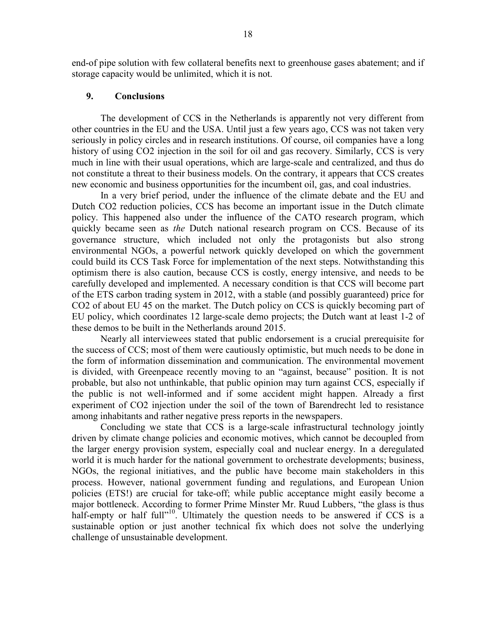end-of pipe solution with few collateral benefits next to greenhouse gases abatement; and if storage capacity would be unlimited, which it is not.

#### 9. Conclusions

The development of CCS in the Netherlands is apparently not very different from other countries in the EU and the USA. Until just a few years ago, CCS was not taken very seriously in policy circles and in research institutions. Of course, oil companies have a long history of using CO2 injection in the soil for oil and gas recovery. Similarly, CCS is very much in line with their usual operations, which are large-scale and centralized, and thus do not constitute a threat to their business models. On the contrary, it appears that CCS creates new economic and business opportunities for the incumbent oil, gas, and coal industries.

In a very brief period, under the influence of the climate debate and the EU and Dutch CO2 reduction policies, CCS has become an important issue in the Dutch climate policy. This happened also under the influence of the CATO research program, which quickly became seen as the Dutch national research program on CCS. Because of its governance structure, which included not only the protagonists but also strong environmental NGOs, a powerful network quickly developed on which the government could build its CCS Task Force for implementation of the next steps. Notwithstanding this optimism there is also caution, because CCS is costly, energy intensive, and needs to be carefully developed and implemented. A necessary condition is that CCS will become part of the ETS carbon trading system in 2012, with a stable (and possibly guaranteed) price for CO2 of about EU 45 on the market. The Dutch policy on CCS is quickly becoming part of EU policy, which coordinates 12 large-scale demo projects; the Dutch want at least 1-2 of these demos to be built in the Netherlands around 2015.

Nearly all interviewees stated that public endorsement is a crucial prerequisite for the success of CCS; most of them were cautiously optimistic, but much needs to be done in the form of information dissemination and communication. The environmental movement is divided, with Greenpeace recently moving to an "against, because" position. It is not probable, but also not unthinkable, that public opinion may turn against CCS, especially if the public is not well-informed and if some accident might happen. Already a first experiment of CO2 injection under the soil of the town of Barendrecht led to resistance among inhabitants and rather negative press reports in the newspapers.

Concluding we state that CCS is a large-scale infrastructural technology jointly driven by climate change policies and economic motives, which cannot be decoupled from the larger energy provision system, especially coal and nuclear energy. In a deregulated world it is much harder for the national government to orchestrate developments; business, NGOs, the regional initiatives, and the public have become main stakeholders in this process. However, national government funding and regulations, and European Union policies (ETS!) are crucial for take-off; while public acceptance might easily become a major bottleneck. According to former Prime Minster Mr. Ruud Lubbers, "the glass is thus half-empty or half full"<sup>10</sup>. Ultimately the question needs to be answered if CCS is a sustainable option or just another technical fix which does not solve the underlying challenge of unsustainable development.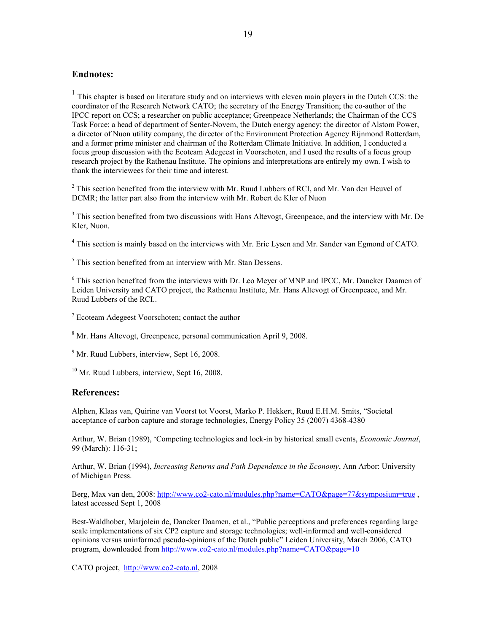### Endnotes:

-

<sup>1</sup> This chapter is based on literature study and on interviews with eleven main players in the Dutch CCS: the coordinator of the Research Network CATO; the secretary of the Energy Transition; the co-author of the IPCC report on CCS; a researcher on public acceptance; Greenpeace Netherlands; the Chairman of the CCS Task Force; a head of department of Senter-Novem, the Dutch energy agency; the director of Alstom Power, a director of Nuon utility company, the director of the Environment Protection Agency Rijnmond Rotterdam, and a former prime minister and chairman of the Rotterdam Climate Initiative. In addition, I conducted a focus group discussion with the Ecoteam Adegeest in Voorschoten, and I used the results of a focus group research project by the Rathenau Institute. The opinions and interpretations are entirely my own. I wish to thank the interviewees for their time and interest.

 $2$  This section benefited from the interview with Mr. Ruud Lubbers of RCI, and Mr. Van den Heuvel of DCMR; the latter part also from the interview with Mr. Robert de Kler of Nuon

<sup>3</sup> This section benefited from two discussions with Hans Altevogt, Greenpeace, and the interview with Mr. De Kler, Nuon.

<sup>4</sup> This section is mainly based on the interviews with Mr. Eric Lysen and Mr. Sander van Egmond of CATO.

5 This section benefited from an interview with Mr. Stan Dessens.

<sup>6</sup> This section benefited from the interviews with Dr. Leo Meyer of MNP and IPCC, Mr. Dancker Daamen of Leiden University and CATO project, the Rathenau Institute, Mr. Hans Altevogt of Greenpeace, and Mr. Ruud Lubbers of the RCI..

<sup>7</sup> Ecoteam Adegeest Voorschoten; contact the author

8 Mr. Hans Altevogt, Greenpeace, personal communication April 9, 2008.

<sup>9</sup> Mr. Ruud Lubbers, interview, Sept 16, 2008.

 $10$  Mr. Ruud Lubbers, interview, Sept 16, 2008.

#### References:

Alphen, Klaas van, Quirine van Voorst tot Voorst, Marko P. Hekkert, Ruud E.H.M. Smits, "Societal acceptance of carbon capture and storage technologies, Energy Policy 35 (2007) 4368-4380

Arthur, W. Brian (1989), 'Competing technologies and lock-in by historical small events, *Economic Journal*, 99 (March): 116-31;

Arthur, W. Brian (1994), *Increasing Returns and Path Dependence in the Economy*, Ann Arbor: University of Michigan Press.

Berg, Max van den, 2008: http://www.co2-cato.nl/modules.php?name=CATO&page=77&symposium=true, latest accessed Sept 1, 2008

Best-Waldhober, Marjolein de, Dancker Daamen, et al., "Public perceptions and preferences regarding large scale implementations of six CP2 capture and storage technologies; well-informed and well-considered opinions versus uninformed pseudo-opinions of the Dutch public" Leiden University, March 2006, CATO program, downloaded from http://www.co2-cato.nl/modules.php?name=CATO&page=10

CATO project, http://www.co2-cato.nl, 2008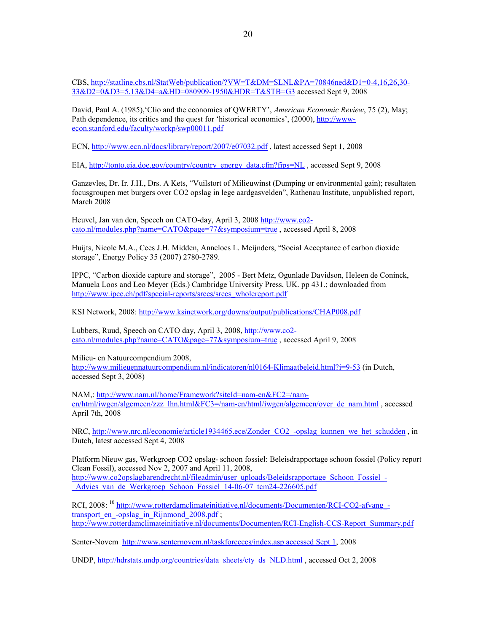CBS, http://statline.cbs.nl/StatWeb/publication/?VW=T&DM=SLNL&PA=70846ned&D1=0-4,16,26,30- 33&D2=0&D3=5,13&D4=a&HD=080909-1950&HDR=T&STB=G3 accessed Sept 9, 2008

David, Paul A. (1985), 'Clio and the economics of QWERTY', American Economic Review, 75 (2), May; Path dependence, its critics and the quest for 'historical economics', (2000), http://wwwecon.stanford.edu/faculty/workp/swp00011.pdf

ECN, http://www.ecn.nl/docs/library/report/2007/e07032.pdf , latest accessed Sept 1, 2008

-

EIA, http://tonto.eia.doe.gov/country/country\_energy\_data.cfm?fips=NL,accessed Sept 9, 2008

Ganzevles, Dr. Ir. J.H., Drs. A Kets, "Vuilstort of Milieuwinst (Dumping or environmental gain); resultaten focusgroupen met burgers over CO2 opslag in lege aardgasvelden", Rathenau Institute, unpublished report, March 2008

Heuvel, Jan van den, Speech on CATO-day, April 3, 2008 http://www.co2cato.nl/modules.php?name=CATO&page=77&symposium=true , accessed April 8, 2008

Huijts, Nicole M.A., Cees J.H. Midden, Anneloes L. Meijnders, "Social Acceptance of carbon dioxide storage", Energy Policy 35 (2007) 2780-2789.

IPPC, "Carbon dioxide capture and storage", 2005 - Bert Metz, Ogunlade Davidson, Heleen de Coninck, Manuela Loos and Leo Meyer (Eds.) Cambridge University Press, UK. pp 431.; downloaded from http://www.ipcc.ch/pdf/special-reports/srccs/srccs\_wholereport.pdf

KSI Network, 2008: http://www.ksinetwork.org/downs/output/publications/CHAP008.pdf

Lubbers, Ruud, Speech on CATO day, April 3, 2008, http://www.co2 cato.nl/modules.php?name=CATO&page=77&symposium=true , accessed April 9, 2008

Milieu- en Natuurcompendium 2008, http://www.milieuennatuurcompendium.nl/indicatoren/nl0164-Klimaatbeleid.html?i=9-53 (in Dutch, accessed Sept 3, 2008)

NAM,: http://www.nam.nl/home/Framework?siteId=nam-en&FC2=/namen/html/iwgen/algemeen/zzz\_lhn.html&FC3=/nam-en/html/iwgen/algemeen/over\_de\_nam.html , accessed April 7th, 2008

NRC, http://www.nrc.nl/economie/article1934465.ece/Zonder\_CO2\_-opslag\_kunnen\_we\_het\_schudden , in Dutch, latest accessed Sept 4, 2008

Platform Nieuw gas, Werkgroep CO2 opslag- schoon fossiel: Beleisdrapportage schoon fossiel (Policy report Clean Fossil), accessed Nov 2, 2007 and April 11, 2008,

http://www.co2opslagbarendrecht.nl/fileadmin/user\_uploads/Beleidsrapportage\_Schoon\_Fossiel\_-Advies van de Werkgroep Schoon Fossiel 14-06-07 tcm24-226605.pdf

RCI, 2008: <sup>10</sup> http://www.rotterdamclimateinitiative.nl/documents/Documenten/RCI-CO2-afvang transport\_en\_-opslag\_in\_Rijnmond\_2008.pdf ; http://www.rotterdamclimateinitiative.nl/documents/Documenten/RCI-English-CCS-Report\_Summary.pdf

Senter-Novem http://www.senternovem.nl/taskforceccs/index.asp accessed Sept 1, 2008

UNDP, http://hdrstats.undp.org/countries/data\_sheets/cty\_ds\_NLD.html , accessed Oct 2, 2008